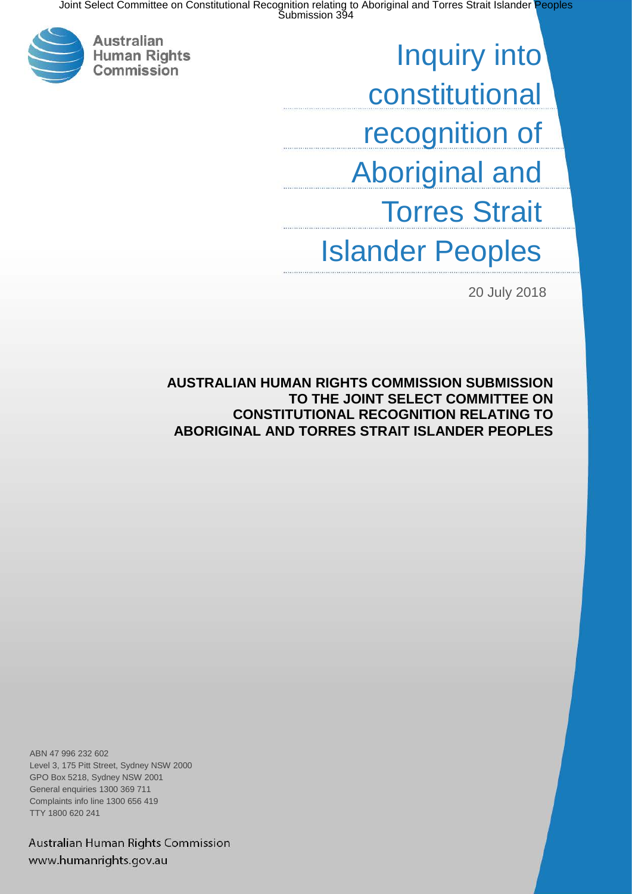

Inquiry into constitutional recognition of Aboriginal and Torres Strait Islander Peoples

20 July 2018

**AUSTRALIAN HUMAN RIGHTS COMMISSION SUBMISSION TO THE JOINT SELECT COMMITTEE ON CONSTITUTIONAL RECOGNITION RELATING TO ABORIGINAL AND TORRES STRAIT ISLANDER PEOPLES**

ABN 47 996 232 602 Level 3, 175 Pitt Street, Sydney NSW 2000 GPO Box 5218, Sydney NSW 2001 General enquiries 1300 369 711 Complaints info line 1300 656 419 TTY 1800 620 241

Australian Human Rights Commission www.humanrights.gov.au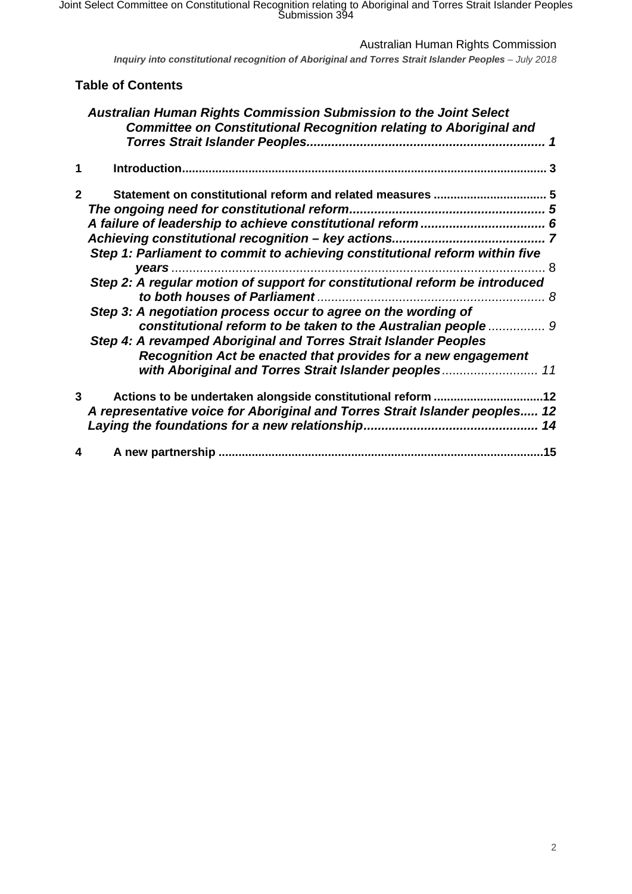Australian Human Rights Commission

*Inquiry into constitutional recognition of Aboriginal and Torres Strait Islander Peoples - July 2018* 

## **Table of Contents**

|              | Australian Human Rights Commission Submission to the Joint Select<br><b>Committee on Constitutional Recognition relating to Aboriginal and</b> |  |
|--------------|------------------------------------------------------------------------------------------------------------------------------------------------|--|
| 1            |                                                                                                                                                |  |
| $\mathbf{2}$ |                                                                                                                                                |  |
|              |                                                                                                                                                |  |
|              |                                                                                                                                                |  |
|              |                                                                                                                                                |  |
|              | Step 1: Parliament to commit to achieving constitutional reform within five                                                                    |  |
|              |                                                                                                                                                |  |
|              | Step 2: A regular motion of support for constitutional reform be introduced                                                                    |  |
|              | Step 3: A negotiation process occur to agree on the wording of                                                                                 |  |
|              | constitutional reform to be taken to the Australian people  9                                                                                  |  |
|              | Step 4: A revamped Aboriginal and Torres Strait Islander Peoples<br>Recognition Act be enacted that provides for a new engagement              |  |
|              | with Aboriginal and Torres Strait Islander peoples 11                                                                                          |  |
| 3            | Actions to be undertaken alongside constitutional reform 12<br>A representative voice for Aboriginal and Torres Strait Islander peoples 12     |  |
| 4            |                                                                                                                                                |  |
|              |                                                                                                                                                |  |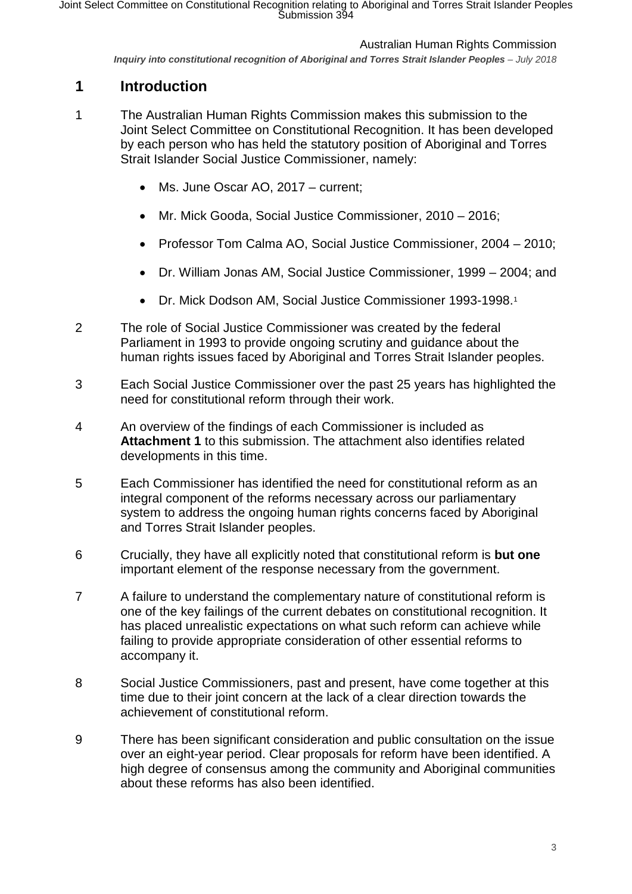*Inquiry into constitutional recognition of Aboriginal and Torres Strait Islander Peoples – July 2018* 

# <span id="page-2-0"></span>**1 Introduction**

- 1 The Australian Human Rights Commission makes this submission to the Joint Select Committee on Constitutional Recognition. It has been developed by each person who has held the statutory position of Aboriginal and Torres Strait Islander Social Justice Commissioner, namely:
	- Ms. June Oscar AO, 2017 current;
	- Mr. Mick Gooda, Social Justice Commissioner, 2010 2016;
	- Professor Tom Calma AO, Social Justice Commissioner, 2004 2010;
	- Dr. William Jonas AM, Social Justice Commissioner, 1999 2004; and
	- Dr. Mick Dodson AM, Social Justice Commissioner 1993-1998.[1](#page-16-0)
- 2 The role of Social Justice Commissioner was created by the federal Parliament in 1993 to provide ongoing scrutiny and guidance about the human rights issues faced by Aboriginal and Torres Strait Islander peoples.
- 3 Each Social Justice Commissioner over the past 25 years has highlighted the need for constitutional reform through their work.
- 4 An overview of the findings of each Commissioner is included as **Attachment 1** to this submission. The attachment also identifies related developments in this time.
- 5 Each Commissioner has identified the need for constitutional reform as an integral component of the reforms necessary across our parliamentary system to address the ongoing human rights concerns faced by Aboriginal and Torres Strait Islander peoples.
- 6 Crucially, they have all explicitly noted that constitutional reform is **but one** important element of the response necessary from the government.
- 7 A failure to understand the complementary nature of constitutional reform is one of the key failings of the current debates on constitutional recognition. It has placed unrealistic expectations on what such reform can achieve while failing to provide appropriate consideration of other essential reforms to accompany it.
- 8 Social Justice Commissioners, past and present, have come together at this time due to their joint concern at the lack of a clear direction towards the achievement of constitutional reform.
- 9 There has been significant consideration and public consultation on the issue over an eight-year period. Clear proposals for reform have been identified. A high degree of consensus among the community and Aboriginal communities about these reforms has also been identified.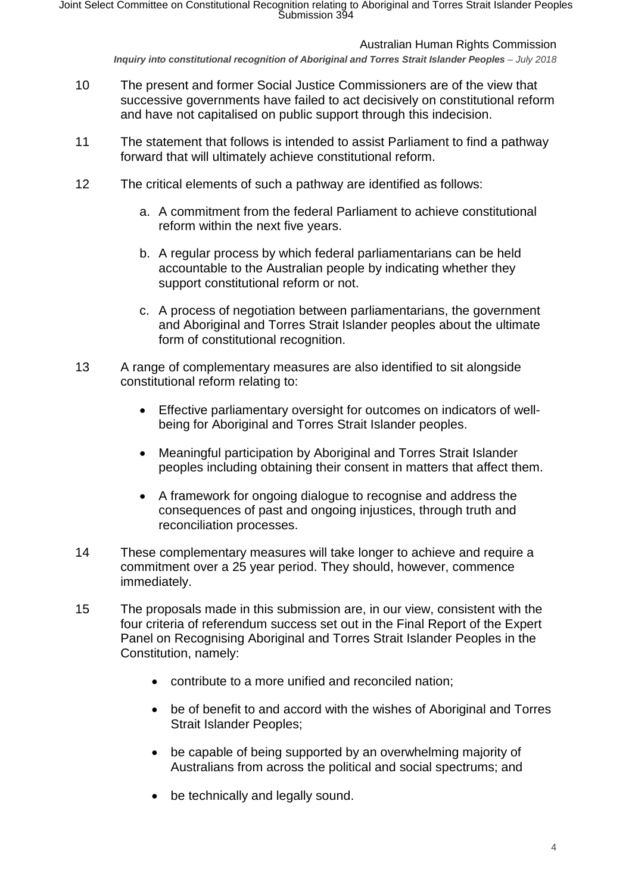*Inquiry into constitutional recognition of Aboriginal and Torres Strait Islander Peoples – July 2018* 

- 10 The present and former Social Justice Commissioners are of the view that successive governments have failed to act decisively on constitutional reform and have not capitalised on public support through this indecision.
- 11 The statement that follows is intended to assist Parliament to find a pathway forward that will ultimately achieve constitutional reform.
- 12 The critical elements of such a pathway are identified as follows:
	- a. A commitment from the federal Parliament to achieve constitutional reform within the next five years.
	- b. A regular process by which federal parliamentarians can be held accountable to the Australian people by indicating whether they support constitutional reform or not.
	- c. A process of negotiation between parliamentarians, the government and Aboriginal and Torres Strait Islander peoples about the ultimate form of constitutional recognition.
- 13 A range of complementary measures are also identified to sit alongside constitutional reform relating to:
	- Effective parliamentary oversight for outcomes on indicators of wellbeing for Aboriginal and Torres Strait Islander peoples.
	- Meaningful participation by Aboriginal and Torres Strait Islander peoples including obtaining their consent in matters that affect them.
	- A framework for ongoing dialogue to recognise and address the consequences of past and ongoing injustices, through truth and reconciliation processes.
- 14 These complementary measures will take longer to achieve and require a commitment over a 25 year period. They should, however, commence immediately.
- 15 The proposals made in this submission are, in our view, consistent with the four criteria of referendum success set out in the Final Report of the Expert Panel on Recognising Aboriginal and Torres Strait Islander Peoples in the Constitution, namely:
	- contribute to a more unified and reconciled nation;
	- be of benefit to and accord with the wishes of Aboriginal and Torres Strait Islander Peoples;
	- be capable of being supported by an overwhelming majority of Australians from across the political and social spectrums; and
	- be technically and legally sound.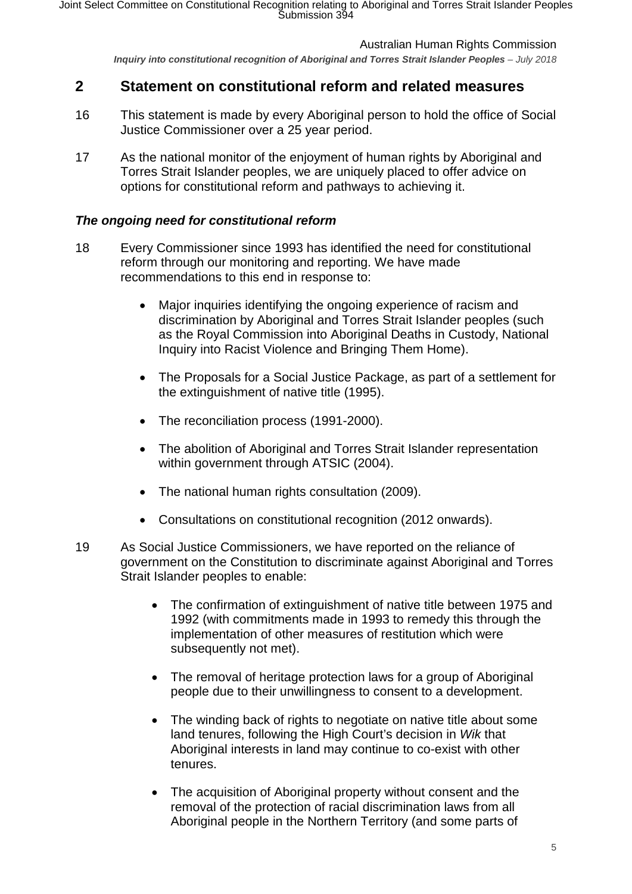*Inquiry into constitutional recognition of Aboriginal and Torres Strait Islander Peoples – July 2018* 

# <span id="page-4-0"></span>**2 Statement on constitutional reform and related measures**

- 16 This statement is made by every Aboriginal person to hold the office of Social Justice Commissioner over a 25 year period.
- 17 As the national monitor of the enjoyment of human rights by Aboriginal and Torres Strait Islander peoples, we are uniquely placed to offer advice on options for constitutional reform and pathways to achieving it.

## <span id="page-4-1"></span>*The ongoing need for constitutional reform*

- 18 Every Commissioner since 1993 has identified the need for constitutional reform through our monitoring and reporting. We have made recommendations to this end in response to:
	- Major inquiries identifying the ongoing experience of racism and discrimination by Aboriginal and Torres Strait Islander peoples (such as the Royal Commission into Aboriginal Deaths in Custody, National Inquiry into Racist Violence and Bringing Them Home).
	- The Proposals for a Social Justice Package, as part of a settlement for the extinguishment of native title (1995).
	- The reconciliation process (1991-2000).
	- The abolition of Aboriginal and Torres Strait Islander representation within government through ATSIC (2004).
	- The national human rights consultation (2009).
	- Consultations on constitutional recognition (2012 onwards).
- 19 As Social Justice Commissioners, we have reported on the reliance of government on the Constitution to discriminate against Aboriginal and Torres Strait Islander peoples to enable:
	- The confirmation of extinguishment of native title between 1975 and 1992 (with commitments made in 1993 to remedy this through the implementation of other measures of restitution which were subsequently not met).
	- The removal of heritage protection laws for a group of Aboriginal people due to their unwillingness to consent to a development.
	- The winding back of rights to negotiate on native title about some land tenures, following the High Court's decision in *Wik* that Aboriginal interests in land may continue to co-exist with other tenures.
	- The acquisition of Aboriginal property without consent and the removal of the protection of racial discrimination laws from all Aboriginal people in the Northern Territory (and some parts of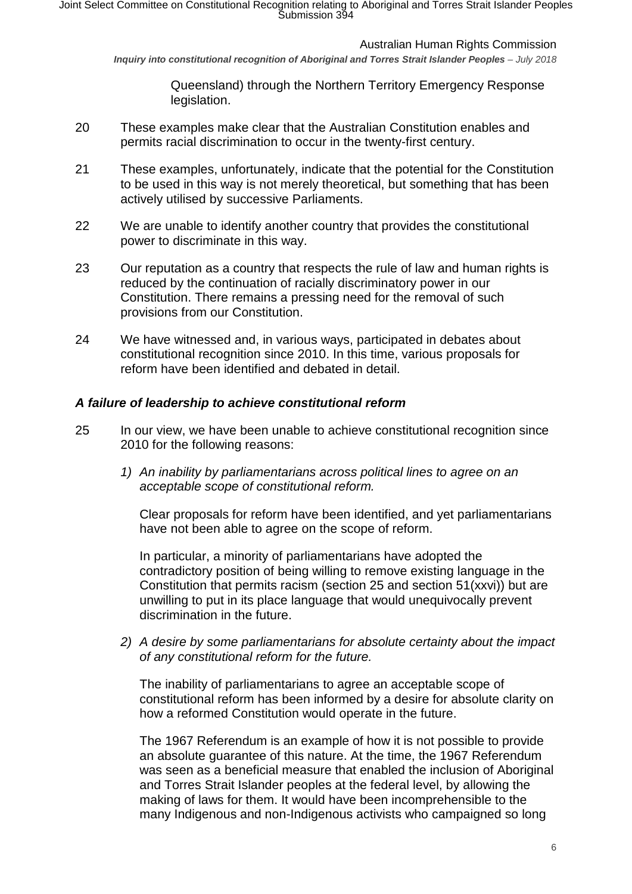*Inquiry into constitutional recognition of Aboriginal and Torres Strait Islander Peoples – July 2018* 

Queensland) through the Northern Territory Emergency Response legislation.

- 20 These examples make clear that the Australian Constitution enables and permits racial discrimination to occur in the twenty-first century.
- 21 These examples, unfortunately, indicate that the potential for the Constitution to be used in this way is not merely theoretical, but something that has been actively utilised by successive Parliaments.
- 22 We are unable to identify another country that provides the constitutional power to discriminate in this way.
- 23 Our reputation as a country that respects the rule of law and human rights is reduced by the continuation of racially discriminatory power in our Constitution. There remains a pressing need for the removal of such provisions from our Constitution.
- 24 We have witnessed and, in various ways, participated in debates about constitutional recognition since 2010. In this time, various proposals for reform have been identified and debated in detail.

# <span id="page-5-0"></span>*A failure of leadership to achieve constitutional reform*

- 25 In our view, we have been unable to achieve constitutional recognition since 2010 for the following reasons:
	- *1) An inability by parliamentarians across political lines to agree on an acceptable scope of constitutional reform.*

Clear proposals for reform have been identified, and yet parliamentarians have not been able to agree on the scope of reform.

In particular, a minority of parliamentarians have adopted the contradictory position of being willing to remove existing language in the Constitution that permits racism (section 25 and section 51(xxvi)) but are unwilling to put in its place language that would unequivocally prevent discrimination in the future.

*2) A desire by some parliamentarians for absolute certainty about the impact of any constitutional reform for the future.*

The inability of parliamentarians to agree an acceptable scope of constitutional reform has been informed by a desire for absolute clarity on how a reformed Constitution would operate in the future.

The 1967 Referendum is an example of how it is not possible to provide an absolute guarantee of this nature. At the time, the 1967 Referendum was seen as a beneficial measure that enabled the inclusion of Aboriginal and Torres Strait Islander peoples at the federal level, by allowing the making of laws for them. It would have been incomprehensible to the many Indigenous and non-Indigenous activists who campaigned so long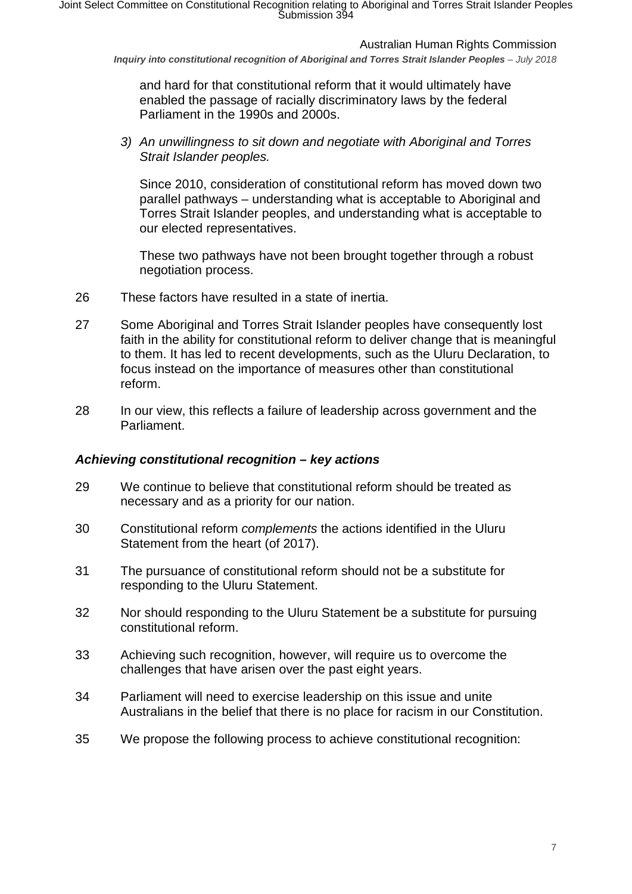*Inquiry into constitutional recognition of Aboriginal and Torres Strait Islander Peoples – July 2018* 

and hard for that constitutional reform that it would ultimately have enabled the passage of racially discriminatory laws by the federal Parliament in the 1990s and 2000s.

*3) An unwillingness to sit down and negotiate with Aboriginal and Torres Strait Islander peoples.*

Since 2010, consideration of constitutional reform has moved down two parallel pathways – understanding what is acceptable to Aboriginal and Torres Strait Islander peoples, and understanding what is acceptable to our elected representatives.

These two pathways have not been brought together through a robust negotiation process.

- 26 These factors have resulted in a state of inertia.
- 27 Some Aboriginal and Torres Strait Islander peoples have consequently lost faith in the ability for constitutional reform to deliver change that is meaningful to them. It has led to recent developments, such as the Uluru Declaration, to focus instead on the importance of measures other than constitutional reform.
- 28 In our view, this reflects a failure of leadership across government and the Parliament.

#### <span id="page-6-0"></span>*Achieving constitutional recognition – key actions*

- 29 We continue to believe that constitutional reform should be treated as necessary and as a priority for our nation.
- 30 Constitutional reform *complements* the actions identified in the Uluru Statement from the heart (of 2017).
- 31 The pursuance of constitutional reform should not be a substitute for responding to the Uluru Statement.
- 32 Nor should responding to the Uluru Statement be a substitute for pursuing constitutional reform.
- 33 Achieving such recognition, however, will require us to overcome the challenges that have arisen over the past eight years.
- 34 Parliament will need to exercise leadership on this issue and unite Australians in the belief that there is no place for racism in our Constitution.
- 35 We propose the following process to achieve constitutional recognition: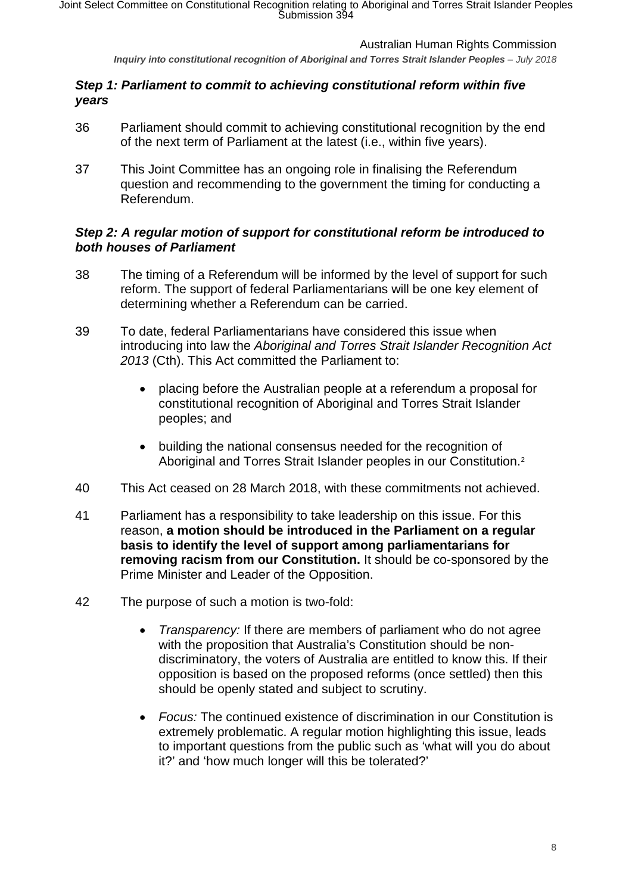*Inquiry into constitutional recognition of Aboriginal and Torres Strait Islander Peoples – July 2018* 

# <span id="page-7-0"></span>*Step 1: Parliament to commit to achieving constitutional reform within five years*

- 36 Parliament should commit to achieving constitutional recognition by the end of the next term of Parliament at the latest (i.e., within five years).
- 37 This Joint Committee has an ongoing role in finalising the Referendum question and recommending to the government the timing for conducting a Referendum.

# <span id="page-7-1"></span>*Step 2: A regular motion of support for constitutional reform be introduced to both houses of Parliament*

- 38 The timing of a Referendum will be informed by the level of support for such reform. The support of federal Parliamentarians will be one key element of determining whether a Referendum can be carried.
- 39 To date, federal Parliamentarians have considered this issue when introducing into law the *Aboriginal and Torres Strait Islander Recognition Act 2013* (Cth). This Act committed the Parliament to:
	- placing before the Australian people at a referendum a proposal for constitutional recognition of Aboriginal and Torres Strait Islander peoples; and
	- building the national consensus needed for the recognition of Aboriginal and Torres Strait Islander peoples in our Constitution.<sup>[2](#page-16-1)</sup>
- 40 This Act ceased on 28 March 2018, with these commitments not achieved.
- 41 Parliament has a responsibility to take leadership on this issue. For this reason, **a motion should be introduced in the Parliament on a regular basis to identify the level of support among parliamentarians for removing racism from our Constitution.** It should be co-sponsored by the Prime Minister and Leader of the Opposition.
- 42 The purpose of such a motion is two-fold:
	- *Transparency:* If there are members of parliament who do not agree with the proposition that Australia's Constitution should be nondiscriminatory, the voters of Australia are entitled to know this. If their opposition is based on the proposed reforms (once settled) then this should be openly stated and subject to scrutiny.
	- *Focus:* The continued existence of discrimination in our Constitution is extremely problematic. A regular motion highlighting this issue, leads to important questions from the public such as 'what will you do about it?' and 'how much longer will this be tolerated?'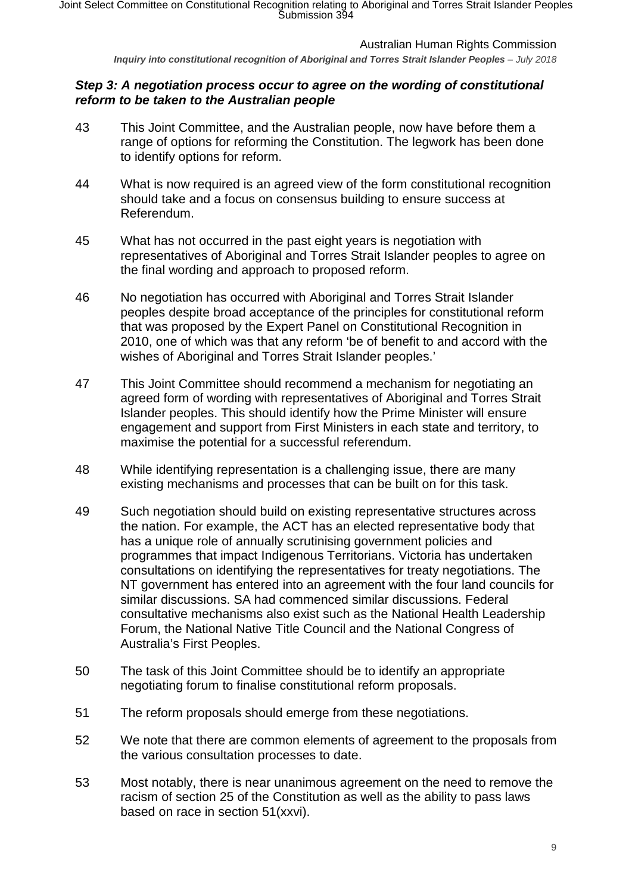*Inquiry into constitutional recognition of Aboriginal and Torres Strait Islander Peoples – July 2018* 

# <span id="page-8-0"></span>*Step 3: A negotiation process occur to agree on the wording of constitutional reform to be taken to the Australian people*

- 43 This Joint Committee, and the Australian people, now have before them a range of options for reforming the Constitution. The legwork has been done to identify options for reform.
- 44 What is now required is an agreed view of the form constitutional recognition should take and a focus on consensus building to ensure success at Referendum.
- 45 What has not occurred in the past eight years is negotiation with representatives of Aboriginal and Torres Strait Islander peoples to agree on the final wording and approach to proposed reform.
- 46 No negotiation has occurred with Aboriginal and Torres Strait Islander peoples despite broad acceptance of the principles for constitutional reform that was proposed by the Expert Panel on Constitutional Recognition in 2010, one of which was that any reform 'be of benefit to and accord with the wishes of Aboriginal and Torres Strait Islander peoples.'
- 47 This Joint Committee should recommend a mechanism for negotiating an agreed form of wording with representatives of Aboriginal and Torres Strait Islander peoples. This should identify how the Prime Minister will ensure engagement and support from First Ministers in each state and territory, to maximise the potential for a successful referendum.
- 48 While identifying representation is a challenging issue, there are many existing mechanisms and processes that can be built on for this task.
- 49 Such negotiation should build on existing representative structures across the nation. For example, the ACT has an elected representative body that has a unique role of annually scrutinising government policies and programmes that impact Indigenous Territorians. Victoria has undertaken consultations on identifying the representatives for treaty negotiations. The NT government has entered into an agreement with the four land councils for similar discussions. SA had commenced similar discussions. Federal consultative mechanisms also exist such as the National Health Leadership Forum, the National Native Title Council and the National Congress of Australia's First Peoples.
- 50 The task of this Joint Committee should be to identify an appropriate negotiating forum to finalise constitutional reform proposals.
- 51 The reform proposals should emerge from these negotiations.
- 52 We note that there are common elements of agreement to the proposals from the various consultation processes to date.
- 53 Most notably, there is near unanimous agreement on the need to remove the racism of section 25 of the Constitution as well as the ability to pass laws based on race in section 51(xxvi).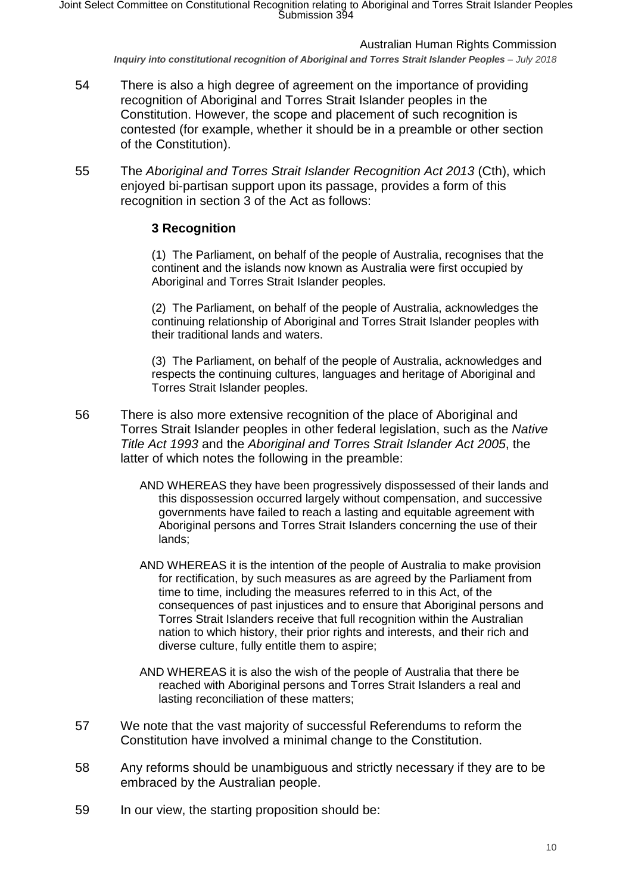*Inquiry into constitutional recognition of Aboriginal and Torres Strait Islander Peoples – July 2018* 

- 54 There is also a high degree of agreement on the importance of providing recognition of Aboriginal and Torres Strait Islander peoples in the Constitution. However, the scope and placement of such recognition is contested (for example, whether it should be in a preamble or other section of the Constitution).
- 55 The *Aboriginal and Torres Strait Islander Recognition Act 2013* (Cth), which enjoyed bi-partisan support upon its passage, provides a form of this recognition in section 3 of the Act as follows:

# **3 Recognition**

(1) The Parliament, on behalf of the people of Australia, recognises that the continent and the islands now known as Australia were first occupied by Aboriginal and Torres Strait Islander peoples.

(2) The Parliament, on behalf of the people of Australia, acknowledges the continuing relationship of Aboriginal and Torres Strait Islander peoples with their traditional lands and waters.

(3) The Parliament, on behalf of the people of Australia, acknowledges and respects the continuing cultures, languages and heritage of Aboriginal and Torres Strait Islander peoples.

- 56 There is also more extensive recognition of the place of Aboriginal and Torres Strait Islander peoples in other federal legislation, such as the *Native Title Act 1993* and the *Aboriginal and Torres Strait Islander Act 2005*, the latter of which notes the following in the preamble:
	- AND WHEREAS they have been progressively dispossessed of their lands and this dispossession occurred largely without compensation, and successive governments have failed to reach a lasting and equitable agreement with Aboriginal persons and Torres Strait Islanders concerning the use of their lands;
	- AND WHEREAS it is the intention of the people of Australia to make provision for rectification, by such measures as are agreed by the Parliament from time to time, including the measures referred to in this Act, of the consequences of past injustices and to ensure that Aboriginal persons and Torres Strait Islanders receive that full recognition within the Australian nation to which history, their prior rights and interests, and their rich and diverse culture, fully entitle them to aspire;
	- AND WHEREAS it is also the wish of the people of Australia that there be reached with Aboriginal persons and Torres Strait Islanders a real and lasting reconciliation of these matters;
- 57 We note that the vast majority of successful Referendums to reform the Constitution have involved a minimal change to the Constitution.
- 58 Any reforms should be unambiguous and strictly necessary if they are to be embraced by the Australian people.
- 59 In our view, the starting proposition should be: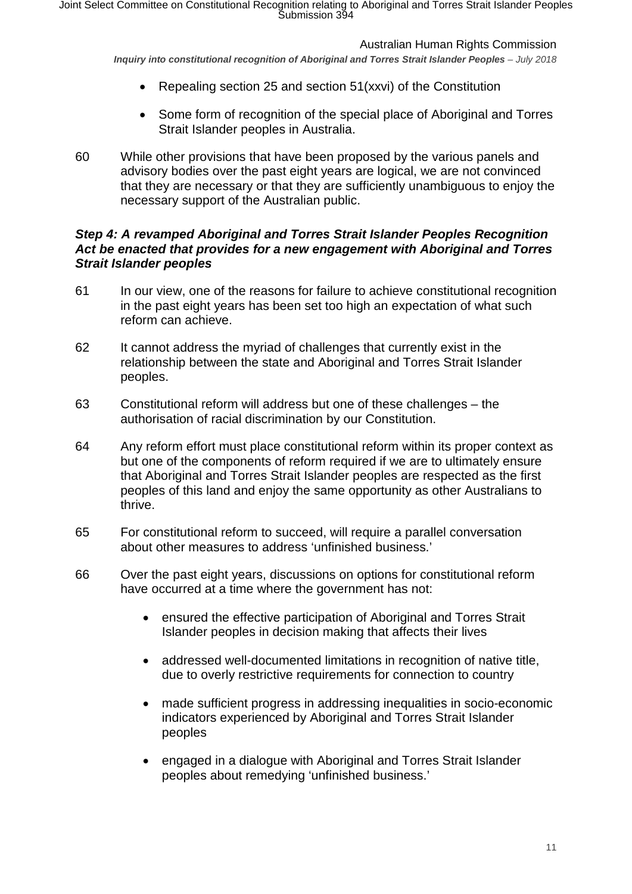*Inquiry into constitutional recognition of Aboriginal and Torres Strait Islander Peoples – July 2018* 

- Repealing section 25 and section 51(xxvi) of the Constitution
- Some form of recognition of the special place of Aboriginal and Torres Strait Islander peoples in Australia.
- 60 While other provisions that have been proposed by the various panels and advisory bodies over the past eight years are logical, we are not convinced that they are necessary or that they are sufficiently unambiguous to enjoy the necessary support of the Australian public.

# <span id="page-10-0"></span>*Step 4: A revamped Aboriginal and Torres Strait Islander Peoples Recognition Act be enacted that provides for a new engagement with Aboriginal and Torres Strait Islander peoples*

- 61 In our view, one of the reasons for failure to achieve constitutional recognition in the past eight years has been set too high an expectation of what such reform can achieve.
- 62 It cannot address the myriad of challenges that currently exist in the relationship between the state and Aboriginal and Torres Strait Islander peoples.
- 63 Constitutional reform will address but one of these challenges the authorisation of racial discrimination by our Constitution.
- 64 Any reform effort must place constitutional reform within its proper context as but one of the components of reform required if we are to ultimately ensure that Aboriginal and Torres Strait Islander peoples are respected as the first peoples of this land and enjoy the same opportunity as other Australians to thrive.
- 65 For constitutional reform to succeed, will require a parallel conversation about other measures to address 'unfinished business.'
- 66 Over the past eight years, discussions on options for constitutional reform have occurred at a time where the government has not:
	- ensured the effective participation of Aboriginal and Torres Strait Islander peoples in decision making that affects their lives
	- addressed well-documented limitations in recognition of native title, due to overly restrictive requirements for connection to country
	- made sufficient progress in addressing inequalities in socio-economic indicators experienced by Aboriginal and Torres Strait Islander peoples
	- engaged in a dialogue with Aboriginal and Torres Strait Islander peoples about remedying 'unfinished business.'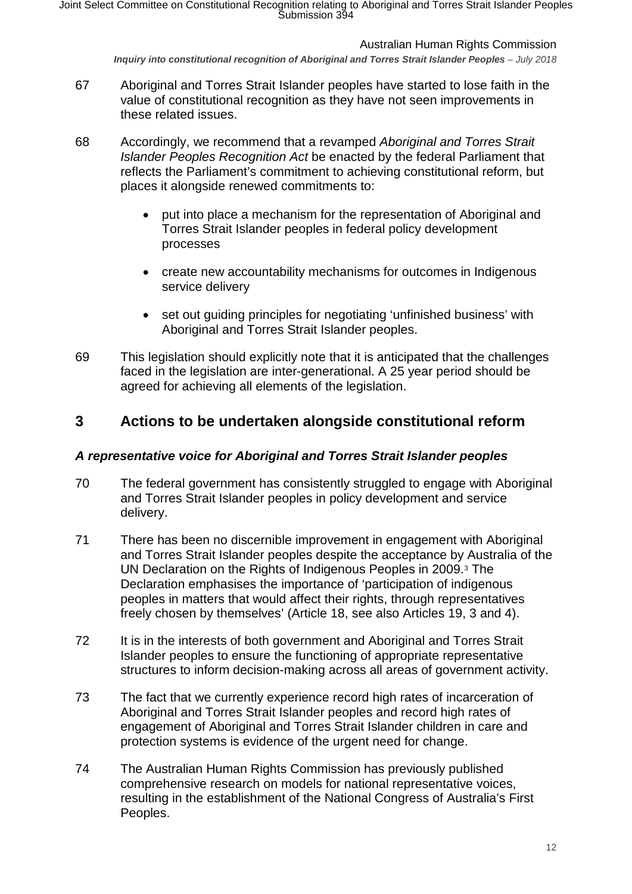*Inquiry into constitutional recognition of Aboriginal and Torres Strait Islander Peoples – July 2018* 

- 67 Aboriginal and Torres Strait Islander peoples have started to lose faith in the value of constitutional recognition as they have not seen improvements in these related issues.
- 68 Accordingly, we recommend that a revamped *Aboriginal and Torres Strait Islander Peoples Recognition Act* be enacted by the federal Parliament that reflects the Parliament's commitment to achieving constitutional reform, but places it alongside renewed commitments to:
	- put into place a mechanism for the representation of Aboriginal and Torres Strait Islander peoples in federal policy development processes
	- create new accountability mechanisms for outcomes in Indigenous service delivery
	- set out guiding principles for negotiating 'unfinished business' with Aboriginal and Torres Strait Islander peoples.
- 69 This legislation should explicitly note that it is anticipated that the challenges faced in the legislation are inter-generational. A 25 year period should be agreed for achieving all elements of the legislation.

# <span id="page-11-0"></span>**3 Actions to be undertaken alongside constitutional reform**

# <span id="page-11-1"></span>*A representative voice for Aboriginal and Torres Strait Islander peoples*

- 70 The federal government has consistently struggled to engage with Aboriginal and Torres Strait Islander peoples in policy development and service delivery.
- 71 There has been no discernible improvement in engagement with Aboriginal and Torres Strait Islander peoples despite the acceptance by Australia of the UN Declaration on the Rights of Indigenous Peoples in 2009.[3](#page-16-2) The Declaration emphasises the importance of 'participation of indigenous peoples in matters that would affect their rights, through representatives freely chosen by themselves' (Article 18, see also Articles 19, 3 and 4).
- 72 It is in the interests of both government and Aboriginal and Torres Strait Islander peoples to ensure the functioning of appropriate representative structures to inform decision-making across all areas of government activity.
- 73 The fact that we currently experience record high rates of incarceration of Aboriginal and Torres Strait Islander peoples and record high rates of engagement of Aboriginal and Torres Strait Islander children in care and protection systems is evidence of the urgent need for change.
- 74 The Australian Human Rights Commission has previously published comprehensive research on models for national representative voices, resulting in the establishment of the National Congress of Australia's First Peoples.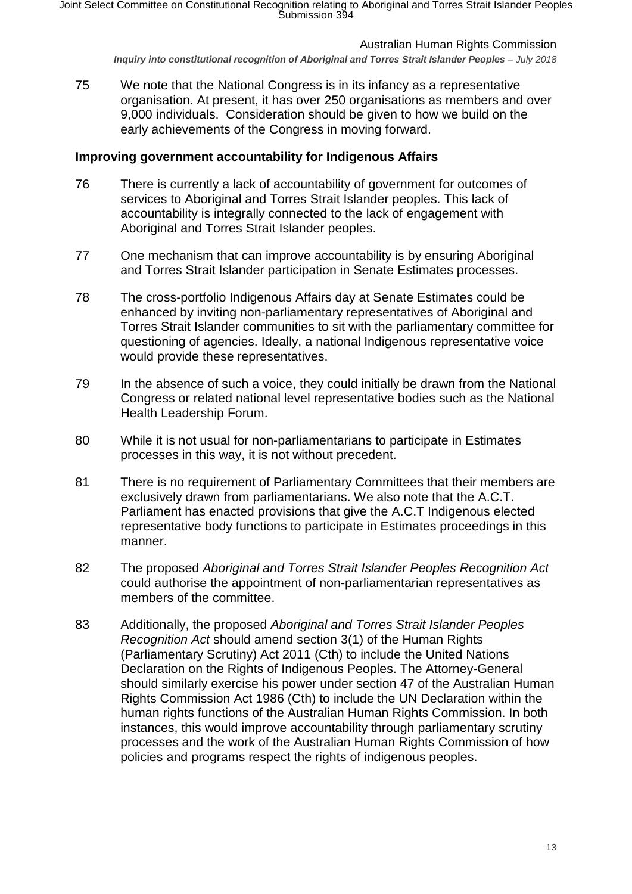*Inquiry into constitutional recognition of Aboriginal and Torres Strait Islander Peoples – July 2018* 

75 We note that the National Congress is in its infancy as a representative organisation. At present, it has over 250 organisations as members and over 9,000 individuals. Consideration should be given to how we build on the early achievements of the Congress in moving forward.

## **Improving government accountability for Indigenous Affairs**

- 76 There is currently a lack of accountability of government for outcomes of services to Aboriginal and Torres Strait Islander peoples. This lack of accountability is integrally connected to the lack of engagement with Aboriginal and Torres Strait Islander peoples.
- 77 One mechanism that can improve accountability is by ensuring Aboriginal and Torres Strait Islander participation in Senate Estimates processes.
- 78 The cross-portfolio Indigenous Affairs day at Senate Estimates could be enhanced by inviting non-parliamentary representatives of Aboriginal and Torres Strait Islander communities to sit with the parliamentary committee for questioning of agencies. Ideally, a national Indigenous representative voice would provide these representatives.
- 79 In the absence of such a voice, they could initially be drawn from the National Congress or related national level representative bodies such as the National Health Leadership Forum.
- 80 While it is not usual for non-parliamentarians to participate in Estimates processes in this way, it is not without precedent.
- 81 There is no requirement of Parliamentary Committees that their members are exclusively drawn from parliamentarians. We also note that the A.C.T. Parliament has enacted provisions that give the A.C.T Indigenous elected representative body functions to participate in Estimates proceedings in this manner.
- 82 The proposed *Aboriginal and Torres Strait Islander Peoples Recognition Act* could authorise the appointment of non-parliamentarian representatives as members of the committee.
- 83 Additionally, the proposed *Aboriginal and Torres Strait Islander Peoples Recognition Act* should amend section 3(1) of the Human Rights (Parliamentary Scrutiny) Act 2011 (Cth) to include the United Nations Declaration on the Rights of Indigenous Peoples. The Attorney-General should similarly exercise his power under section 47 of the Australian Human Rights Commission Act 1986 (Cth) to include the UN Declaration within the human rights functions of the Australian Human Rights Commission. In both instances, this would improve accountability through parliamentary scrutiny processes and the work of the Australian Human Rights Commission of how policies and programs respect the rights of indigenous peoples.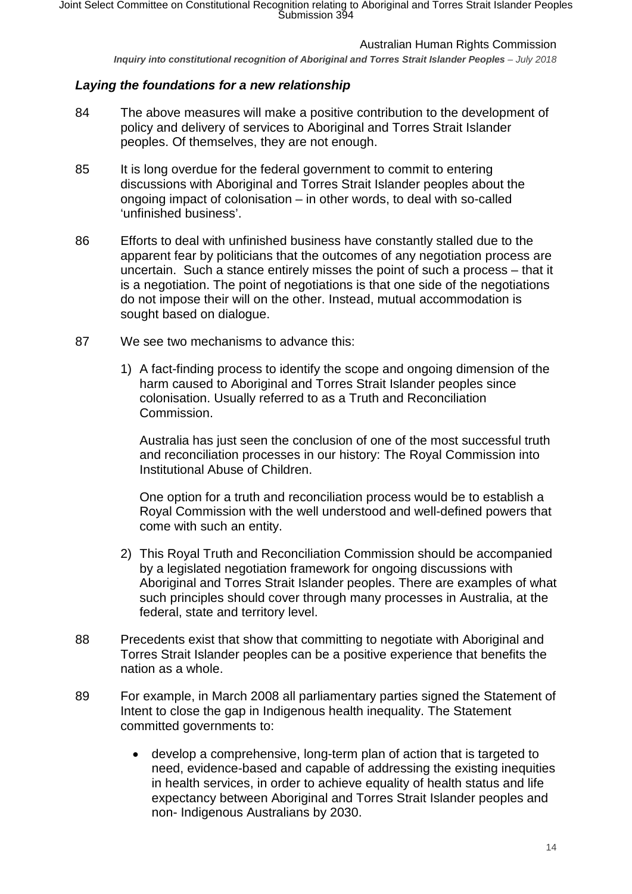*Inquiry into constitutional recognition of Aboriginal and Torres Strait Islander Peoples – July 2018* 

## <span id="page-13-0"></span>*Laying the foundations for a new relationship*

- 84 The above measures will make a positive contribution to the development of policy and delivery of services to Aboriginal and Torres Strait Islander peoples. Of themselves, they are not enough.
- 85 It is long overdue for the federal government to commit to entering discussions with Aboriginal and Torres Strait Islander peoples about the ongoing impact of colonisation – in other words, to deal with so-called 'unfinished business'.
- 86 Efforts to deal with unfinished business have constantly stalled due to the apparent fear by politicians that the outcomes of any negotiation process are uncertain. Such a stance entirely misses the point of such a process – that it is a negotiation. The point of negotiations is that one side of the negotiations do not impose their will on the other. Instead, mutual accommodation is sought based on dialogue.
- 87 We see two mechanisms to advance this:
	- 1) A fact-finding process to identify the scope and ongoing dimension of the harm caused to Aboriginal and Torres Strait Islander peoples since colonisation. Usually referred to as a Truth and Reconciliation Commission.

Australia has just seen the conclusion of one of the most successful truth and reconciliation processes in our history: The Royal Commission into Institutional Abuse of Children.

One option for a truth and reconciliation process would be to establish a Royal Commission with the well understood and well-defined powers that come with such an entity.

- 2) This Royal Truth and Reconciliation Commission should be accompanied by a legislated negotiation framework for ongoing discussions with Aboriginal and Torres Strait Islander peoples. There are examples of what such principles should cover through many processes in Australia, at the federal, state and territory level.
- 88 Precedents exist that show that committing to negotiate with Aboriginal and Torres Strait Islander peoples can be a positive experience that benefits the nation as a whole.
- 89 For example, in March 2008 all parliamentary parties signed the Statement of Intent to close the gap in Indigenous health inequality. The Statement committed governments to:
	- develop a comprehensive, long-term plan of action that is targeted to need, evidence-based and capable of addressing the existing inequities in health services, in order to achieve equality of health status and life expectancy between Aboriginal and Torres Strait Islander peoples and non- Indigenous Australians by 2030.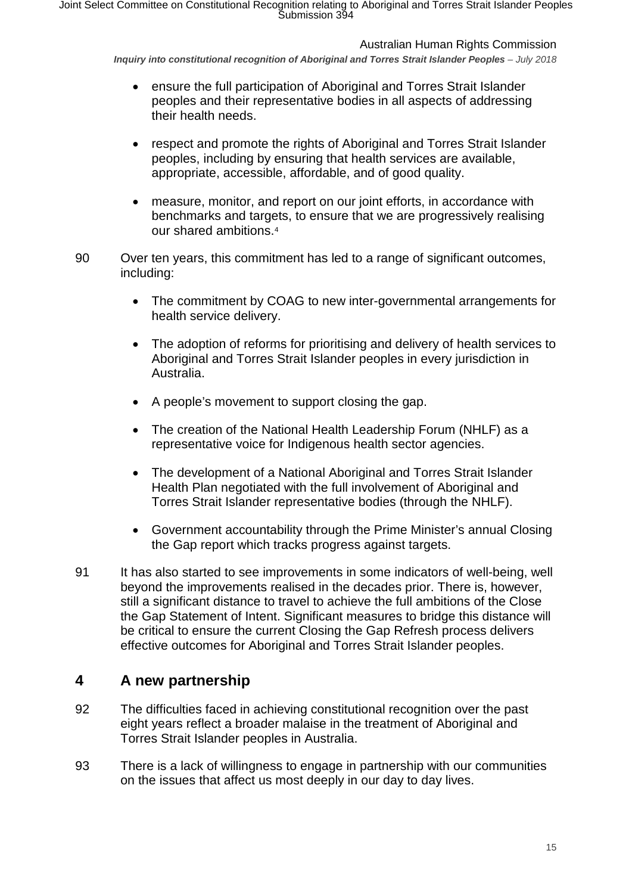Australian Human Rights Commission

*Inquiry into constitutional recognition of Aboriginal and Torres Strait Islander Peoples – July 2018* 

- ensure the full participation of Aboriginal and Torres Strait Islander peoples and their representative bodies in all aspects of addressing their health needs.
- respect and promote the rights of Aboriginal and Torres Strait Islander peoples, including by ensuring that health services are available, appropriate, accessible, affordable, and of good quality.
- measure, monitor, and report on our joint efforts, in accordance with benchmarks and targets, to ensure that we are progressively realising our shared ambitions.[4](#page-16-3)
- 90 Over ten years, this commitment has led to a range of significant outcomes, including:
	- The commitment by COAG to new inter-governmental arrangements for health service delivery.
	- The adoption of reforms for prioritising and delivery of health services to Aboriginal and Torres Strait Islander peoples in every jurisdiction in Australia.
	- A people's movement to support closing the gap.
	- The creation of the National Health Leadership Forum (NHLF) as a representative voice for Indigenous health sector agencies.
	- The development of a National Aboriginal and Torres Strait Islander Health Plan negotiated with the full involvement of Aboriginal and Torres Strait Islander representative bodies (through the NHLF).
	- Government accountability through the Prime Minister's annual Closing the Gap report which tracks progress against targets.
- 91 It has also started to see improvements in some indicators of well-being, well beyond the improvements realised in the decades prior. There is, however, still a significant distance to travel to achieve the full ambitions of the Close the Gap Statement of Intent. Significant measures to bridge this distance will be critical to ensure the current Closing the Gap Refresh process delivers effective outcomes for Aboriginal and Torres Strait Islander peoples.

# <span id="page-14-0"></span>**4 A new partnership**

- 92 The difficulties faced in achieving constitutional recognition over the past eight years reflect a broader malaise in the treatment of Aboriginal and Torres Strait Islander peoples in Australia.
- 93 There is a lack of willingness to engage in partnership with our communities on the issues that affect us most deeply in our day to day lives.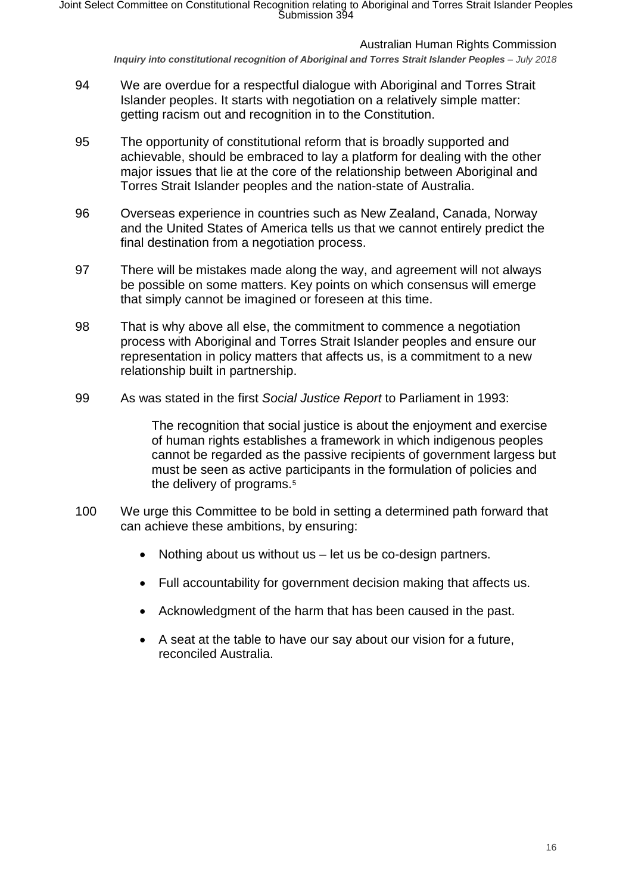*Inquiry into constitutional recognition of Aboriginal and Torres Strait Islander Peoples – July 2018* 

- 94 We are overdue for a respectful dialogue with Aboriginal and Torres Strait Islander peoples. It starts with negotiation on a relatively simple matter: getting racism out and recognition in to the Constitution.
- 95 The opportunity of constitutional reform that is broadly supported and achievable, should be embraced to lay a platform for dealing with the other major issues that lie at the core of the relationship between Aboriginal and Torres Strait Islander peoples and the nation-state of Australia.
- 96 Overseas experience in countries such as New Zealand, Canada, Norway and the United States of America tells us that we cannot entirely predict the final destination from a negotiation process.
- 97 There will be mistakes made along the way, and agreement will not always be possible on some matters. Key points on which consensus will emerge that simply cannot be imagined or foreseen at this time.
- 98 That is why above all else, the commitment to commence a negotiation process with Aboriginal and Torres Strait Islander peoples and ensure our representation in policy matters that affects us, is a commitment to a new relationship built in partnership.
- 99 As was stated in the first *Social Justice Report* to Parliament in 1993:

The recognition that social justice is about the enjoyment and exercise of human rights establishes a framework in which indigenous peoples cannot be regarded as the passive recipients of government largess but must be seen as active participants in the formulation of policies and the delivery of programs.<sup>[5](#page-16-4)</sup>

- 100 We urge this Committee to be bold in setting a determined path forward that can achieve these ambitions, by ensuring:
	- Nothing about us without us  $-$  let us be co-design partners.
	- Full accountability for government decision making that affects us.
	- Acknowledgment of the harm that has been caused in the past.
	- A seat at the table to have our say about our vision for a future, reconciled Australia.